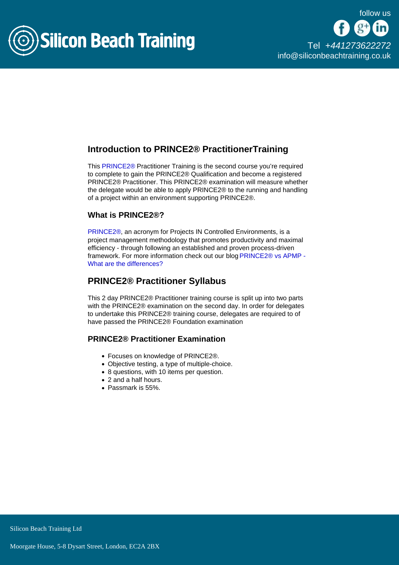

## Introduction to PRINCE2® PractitionerTraining

This [PRINCE2®](/prince2-online-training) Practitioner Training is the second course you're required to complete to gain the PRINCE2® Qualification and become a registered PRINCE2® Practitioner. This PRINCE2® examination will measure whether the delegate would be able to apply PRINCE2® to the running and handling of a project within an environment supporting PRINCE2®.

#### What is PRINCE2®?

[PRINCE2®](/prince2-training), an acronym for Projects IN Controlled Environments, is a project management methodology that promotes productivity and maximal efficiency - through following an established and proven process-driven framework. For more information check out our blog [PRINCE2® vs APMP -](/blog/prince2-vs-apmp-differences)  [What are the differences?](/blog/prince2-vs-apmp-differences)

## PRINCE2® Practitioner Syllabus

This 2 day PRINCE2® Practitioner training course is split up into two parts with the PRINCE2® examination on the second day. In order for delegates to undertake this PRINCE2® training course, delegates are required to of have passed the PRINCE2® Foundation examination

#### PRINCE2® Practitioner Examination

- Focuses on knowledge of PRINCE2®.
- Objective testing, a type of multiple-choice.
- 8 questions, with 10 items per question.
- 2 and a half hours.
- Passmark is 55%.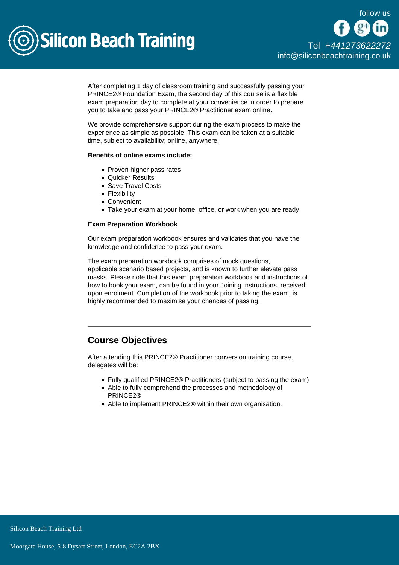

After completing 1 day of classroom training and successfully passing your PRINCE2® Foundation Exam, the second day of this course is a flexible exam preparation day to complete at your convenience in order to prepare you to take and pass your PRINCE2® Practitioner exam online.

We provide comprehensive support during the exam process to make the experience as simple as possible. This exam can be taken at a suitable time, subject to availability; online, anywhere.

Benefits of online exams include:

- Proven higher pass rates
- Quicker Results
- Save Travel Costs
- Flexibility
- Convenient
- Take your exam at your home, office, or work when you are ready

Exam Preparation Workbook

Our exam preparation workbook ensures and validates that you have the knowledge and confidence to pass your exam.

The exam preparation workbook comprises of mock questions, applicable scenario based projects, and is known to further elevate pass masks. Please note that this exam preparation workbook and instructions of how to book your exam, can be found in your Joining Instructions, received upon enrolment. Completion of the workbook prior to taking the exam, is highly recommended to maximise your chances of passing.

## Course Objectives

After attending this PRINCE2® Practitioner conversion training course, delegates will be:

- Fully qualified PRINCE2® Practitioners (subject to passing the exam)
- Able to fully comprehend the processes and methodology of PRINCE2®
- Able to implement PRINCE2® within their own organisation.

Silicon Beach Training Ltd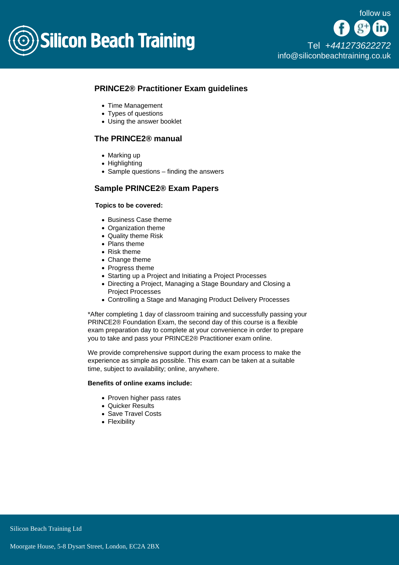

## PRINCE2® Practitioner Exam guidelines

- Time Management
- Types of questions
- Using the answer booklet

### The PRINCE2® manual

- Marking up
- Highlighting
- $\bullet$  Sample questions finding the answers

### Sample PRINCE2® Exam Papers

Topics to be covered:

- Business Case theme
- Organization theme
- Quality theme Risk
- Plans theme
- Risk theme
- Change theme
- Progress theme
- Starting up a Project and Initiating a Project Processes
- Directing a Project, Managing a Stage Boundary and Closing a Project Processes
- Controlling a Stage and Managing Product Delivery Processes

\*After completing 1 day of classroom training and successfully passing your PRINCE2® Foundation Exam, the second day of this course is a flexible exam preparation day to complete at your convenience in order to prepare you to take and pass your PRINCE2® Practitioner exam online.

We provide comprehensive support during the exam process to make the experience as simple as possible. This exam can be taken at a suitable time, subject to availability; online, anywhere.

Benefits of online exams include:

- Proven higher pass rates
- Quicker Results
- Save Travel Costs
- Flexibility